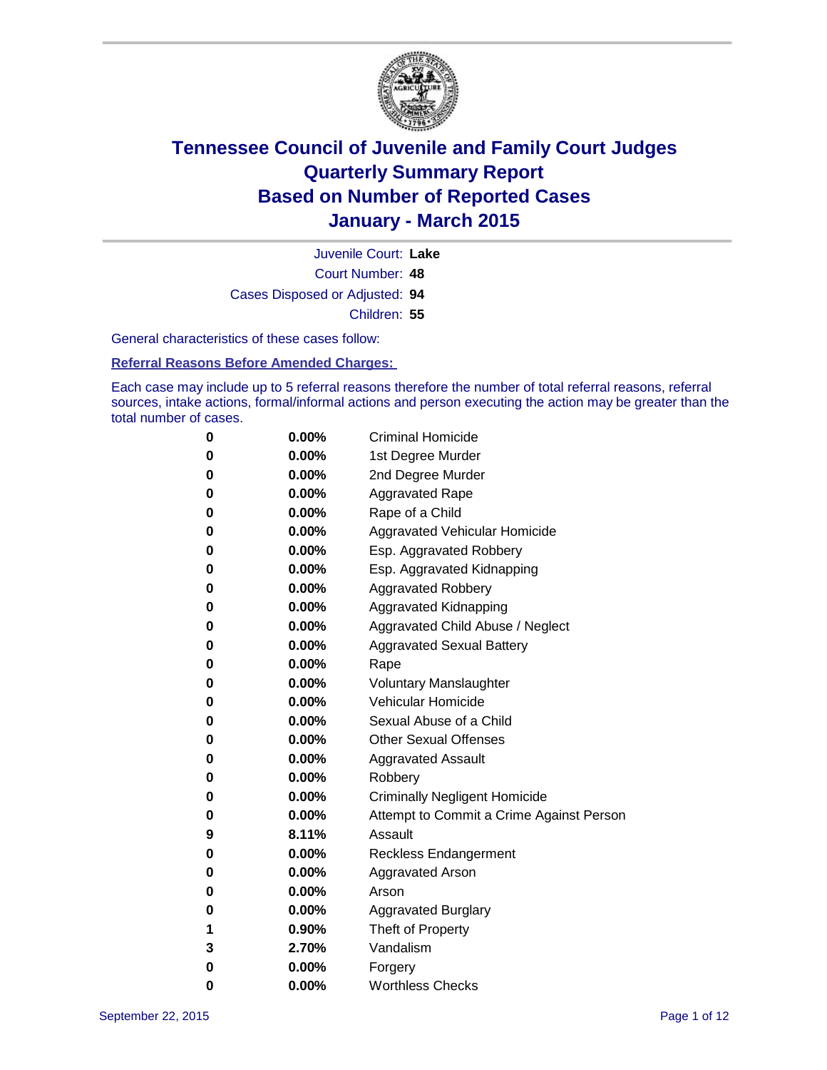

Court Number: **48** Juvenile Court: **Lake** Cases Disposed or Adjusted: **94** Children: **55**

General characteristics of these cases follow:

**Referral Reasons Before Amended Charges:** 

Each case may include up to 5 referral reasons therefore the number of total referral reasons, referral sources, intake actions, formal/informal actions and person executing the action may be greater than the total number of cases.

| 0        | $0.00\%$ | <b>Criminal Homicide</b>                 |
|----------|----------|------------------------------------------|
| 0        | $0.00\%$ | 1st Degree Murder                        |
| $\bf{0}$ | 0.00%    | 2nd Degree Murder                        |
| 0        | $0.00\%$ | <b>Aggravated Rape</b>                   |
| 0        | $0.00\%$ | Rape of a Child                          |
| 0        | $0.00\%$ | Aggravated Vehicular Homicide            |
| $\bf{0}$ | $0.00\%$ | Esp. Aggravated Robbery                  |
| 0        | $0.00\%$ | Esp. Aggravated Kidnapping               |
| $\bf{0}$ | $0.00\%$ | <b>Aggravated Robbery</b>                |
| $\bf{0}$ | $0.00\%$ | <b>Aggravated Kidnapping</b>             |
| 0        | 0.00%    | Aggravated Child Abuse / Neglect         |
| 0        | 0.00%    | <b>Aggravated Sexual Battery</b>         |
| $\bf{0}$ | $0.00\%$ | Rape                                     |
| 0        | $0.00\%$ | <b>Voluntary Manslaughter</b>            |
| 0        | $0.00\%$ | <b>Vehicular Homicide</b>                |
| $\bf{0}$ | $0.00\%$ | Sexual Abuse of a Child                  |
| $\bf{0}$ | $0.00\%$ | <b>Other Sexual Offenses</b>             |
| 0        | $0.00\%$ | <b>Aggravated Assault</b>                |
| 0        | $0.00\%$ | Robbery                                  |
| $\bf{0}$ | $0.00\%$ | <b>Criminally Negligent Homicide</b>     |
| 0        | $0.00\%$ | Attempt to Commit a Crime Against Person |
| 9        | 8.11%    | Assault                                  |
| 0        | $0.00\%$ | <b>Reckless Endangerment</b>             |
| 0        | $0.00\%$ | <b>Aggravated Arson</b>                  |
| 0        | $0.00\%$ | Arson                                    |
| $\bf{0}$ | $0.00\%$ | <b>Aggravated Burglary</b>               |
| 1        | $0.90\%$ | Theft of Property                        |
| 3        | 2.70%    | Vandalism                                |
| $\bf{0}$ | 0.00%    | Forgery                                  |
| 0        | $0.00\%$ | <b>Worthless Checks</b>                  |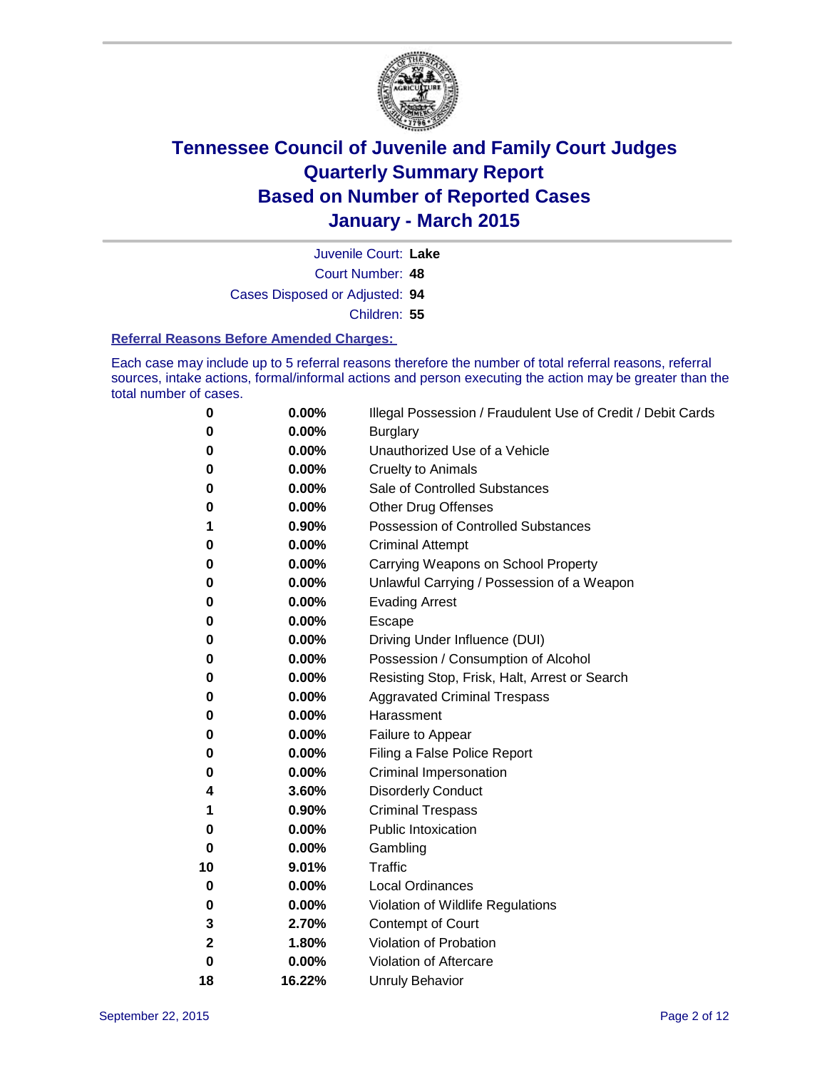

Court Number: **48** Juvenile Court: **Lake** Cases Disposed or Adjusted: **94** Children: **55**

#### **Referral Reasons Before Amended Charges:**

Each case may include up to 5 referral reasons therefore the number of total referral reasons, referral sources, intake actions, formal/informal actions and person executing the action may be greater than the total number of cases.

| 0           | $0.00\%$ | Illegal Possession / Fraudulent Use of Credit / Debit Cards |
|-------------|----------|-------------------------------------------------------------|
| 0           | 0.00%    | <b>Burglary</b>                                             |
| 0           | 0.00%    | Unauthorized Use of a Vehicle                               |
| 0           | 0.00%    | <b>Cruelty to Animals</b>                                   |
| 0           | 0.00%    | Sale of Controlled Substances                               |
| 0           | 0.00%    | <b>Other Drug Offenses</b>                                  |
| 1           | 0.90%    | Possession of Controlled Substances                         |
| 0           | 0.00%    | <b>Criminal Attempt</b>                                     |
| 0           | 0.00%    | Carrying Weapons on School Property                         |
| 0           | 0.00%    | Unlawful Carrying / Possession of a Weapon                  |
| 0           | 0.00%    | <b>Evading Arrest</b>                                       |
| 0           | 0.00%    | Escape                                                      |
| 0           | 0.00%    | Driving Under Influence (DUI)                               |
| 0           | 0.00%    | Possession / Consumption of Alcohol                         |
| 0           | 0.00%    | Resisting Stop, Frisk, Halt, Arrest or Search               |
| 0           | 0.00%    | <b>Aggravated Criminal Trespass</b>                         |
| 0           | 0.00%    | Harassment                                                  |
| 0           | 0.00%    | Failure to Appear                                           |
| 0           | 0.00%    | Filing a False Police Report                                |
| 0           | 0.00%    | <b>Criminal Impersonation</b>                               |
| 4           | 3.60%    | <b>Disorderly Conduct</b>                                   |
| 1           | 0.90%    | <b>Criminal Trespass</b>                                    |
| 0           | 0.00%    | <b>Public Intoxication</b>                                  |
| 0           | 0.00%    | Gambling                                                    |
| 10          | 9.01%    | <b>Traffic</b>                                              |
| 0           | 0.00%    | <b>Local Ordinances</b>                                     |
| 0           | 0.00%    | Violation of Wildlife Regulations                           |
| 3           | 2.70%    | Contempt of Court                                           |
| 2           | 1.80%    | Violation of Probation                                      |
| $\mathbf 0$ | 0.00%    | Violation of Aftercare                                      |
| 18          | 16.22%   | <b>Unruly Behavior</b>                                      |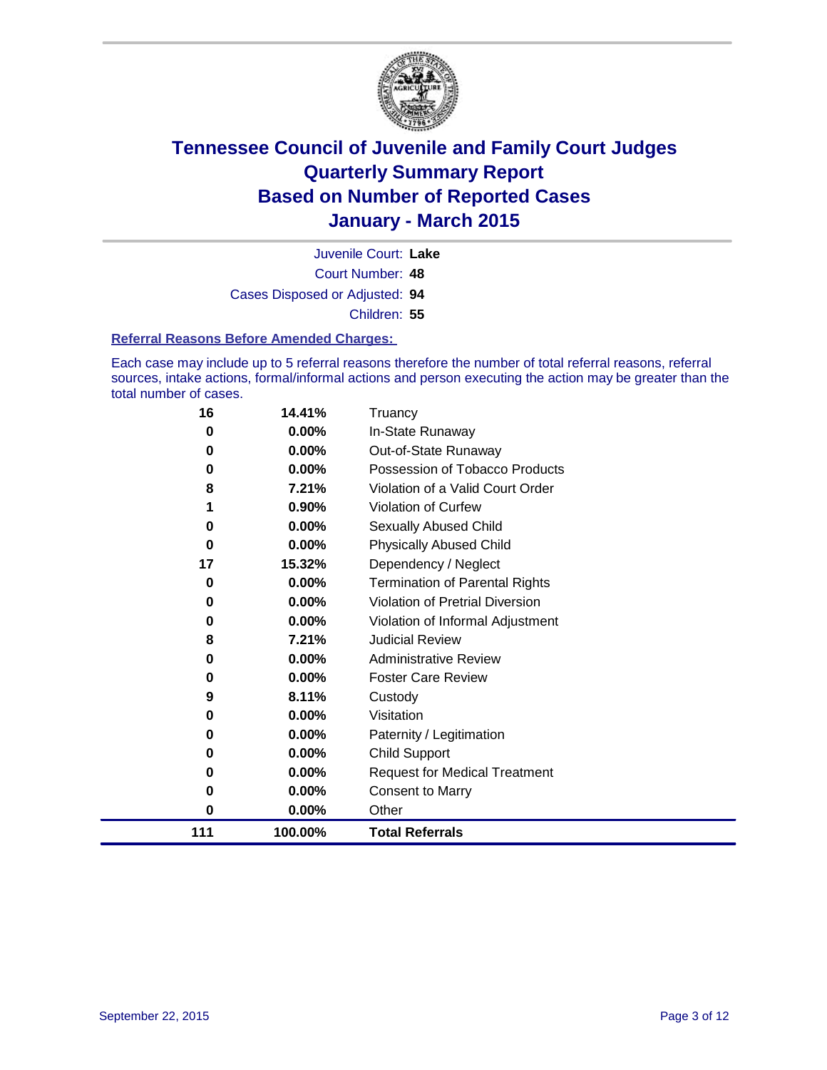

Court Number: **48** Juvenile Court: **Lake** Cases Disposed or Adjusted: **94** Children: **55**

### **Referral Reasons Before Amended Charges:**

Each case may include up to 5 referral reasons therefore the number of total referral reasons, referral sources, intake actions, formal/informal actions and person executing the action may be greater than the total number of cases.

| 16  | 14.41%  | Truancy                                |
|-----|---------|----------------------------------------|
| 0   | 0.00%   | In-State Runaway                       |
| 0   | 0.00%   | Out-of-State Runaway                   |
| 0   | 0.00%   | Possession of Tobacco Products         |
| 8   | 7.21%   | Violation of a Valid Court Order       |
| 1   | 0.90%   | Violation of Curfew                    |
| 0   | 0.00%   | Sexually Abused Child                  |
| 0   | 0.00%   | <b>Physically Abused Child</b>         |
| 17  | 15.32%  | Dependency / Neglect                   |
| 0   | 0.00%   | <b>Termination of Parental Rights</b>  |
| 0   | 0.00%   | <b>Violation of Pretrial Diversion</b> |
| 0   | 0.00%   | Violation of Informal Adjustment       |
| 8   | 7.21%   | <b>Judicial Review</b>                 |
| 0   | 0.00%   | <b>Administrative Review</b>           |
| 0   | 0.00%   | <b>Foster Care Review</b>              |
| 9   | 8.11%   | Custody                                |
| 0   | 0.00%   | Visitation                             |
| 0   | 0.00%   | Paternity / Legitimation               |
| 0   | 0.00%   | Child Support                          |
| 0   | 0.00%   | <b>Request for Medical Treatment</b>   |
| 0   | 0.00%   | <b>Consent to Marry</b>                |
| 0   | 0.00%   | Other                                  |
| 111 | 100.00% | <b>Total Referrals</b>                 |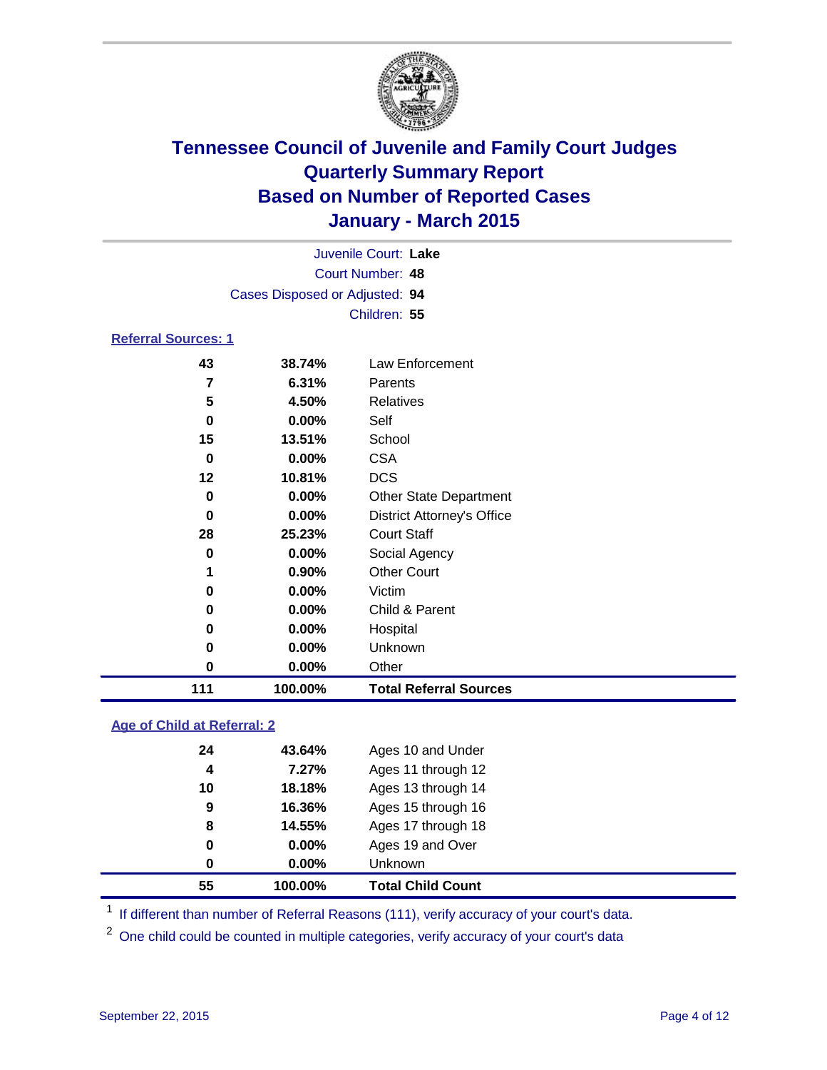

| Juvenile Court: Lake       |                                |                 |  |  |  |
|----------------------------|--------------------------------|-----------------|--|--|--|
|                            | Court Number: 48               |                 |  |  |  |
|                            | Cases Disposed or Adjusted: 94 |                 |  |  |  |
|                            | Children: 55                   |                 |  |  |  |
| <b>Referral Sources: 1</b> |                                |                 |  |  |  |
| 43                         | 38.74%                         | Law Enforcement |  |  |  |
| 7                          | 6.31%                          | Parents         |  |  |  |
| 5                          | 4.50%                          | Relatives       |  |  |  |
| 0                          | $0.00\%$                       | Self            |  |  |  |
| 15                         | 13.51%                         | School          |  |  |  |
| 0                          | 0.00%                          | CSA             |  |  |  |

| 111 | 100.00%  | <b>Total Referral Sources</b>     |
|-----|----------|-----------------------------------|
| 0   | 0.00%    | Other                             |
| 0   | 0.00%    | Unknown                           |
| 0   | 0.00%    | Hospital                          |
| 0   | 0.00%    | Child & Parent                    |
| 0   | 0.00%    | Victim                            |
| 1   | 0.90%    | <b>Other Court</b>                |
| 0   | 0.00%    | Social Agency                     |
| 28  | 25.23%   | <b>Court Staff</b>                |
| 0   | 0.00%    | <b>District Attorney's Office</b> |
| 0   | 0.00%    | <b>Other State Department</b>     |
| 12  | 10.81%   | <b>DCS</b>                        |
| υ   | $0.00\%$ | <b>USA</b>                        |

### **Age of Child at Referral: 2**

|    | 100.00%  | <b>Total Child Count</b> |
|----|----------|--------------------------|
| 0  | $0.00\%$ | Unknown                  |
| 0  | $0.00\%$ | Ages 19 and Over         |
| 8  | 14.55%   | Ages 17 through 18       |
| 9  | 16.36%   | Ages 15 through 16       |
| 10 | 18.18%   | Ages 13 through 14       |
| 4  | 7.27%    | Ages 11 through 12       |
| 24 | 43.64%   | Ages 10 and Under        |
|    |          |                          |

<sup>1</sup> If different than number of Referral Reasons (111), verify accuracy of your court's data.

One child could be counted in multiple categories, verify accuracy of your court's data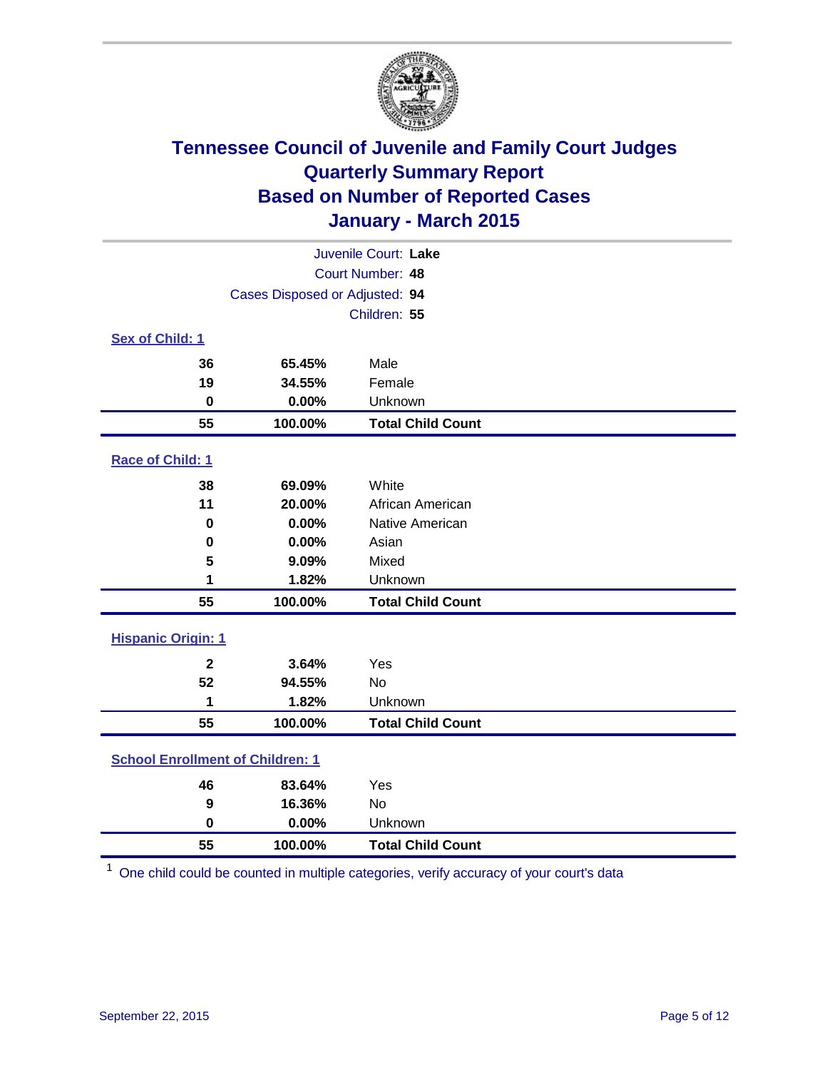

| Juvenile Court: Lake                    |                                |                          |  |  |
|-----------------------------------------|--------------------------------|--------------------------|--|--|
| Court Number: 48                        |                                |                          |  |  |
|                                         | Cases Disposed or Adjusted: 94 |                          |  |  |
|                                         |                                | Children: 55             |  |  |
| Sex of Child: 1                         |                                |                          |  |  |
| 36                                      | 65.45%                         | Male                     |  |  |
| 19                                      | 34.55%                         | Female                   |  |  |
| 0                                       | 0.00%                          | Unknown                  |  |  |
| 55                                      | 100.00%                        | <b>Total Child Count</b> |  |  |
| Race of Child: 1                        |                                |                          |  |  |
| 38                                      | 69.09%                         | White                    |  |  |
| 11                                      | 20.00%                         | African American         |  |  |
| $\bf{0}$                                | 0.00%                          | Native American          |  |  |
| 0                                       | 0.00%                          | Asian                    |  |  |
| 5                                       | 9.09%                          | Mixed                    |  |  |
| 1                                       | 1.82%                          | Unknown                  |  |  |
| 55                                      | 100.00%                        | <b>Total Child Count</b> |  |  |
| <b>Hispanic Origin: 1</b>               |                                |                          |  |  |
| $\overline{\mathbf{2}}$                 | 3.64%                          | Yes                      |  |  |
| 52                                      | 94.55%                         | <b>No</b>                |  |  |
| 1                                       | 1.82%                          | Unknown                  |  |  |
| 55                                      | 100.00%                        | <b>Total Child Count</b> |  |  |
| <b>School Enrollment of Children: 1</b> |                                |                          |  |  |
| 46                                      | 83.64%                         | Yes                      |  |  |
| 9                                       | 16.36%                         | <b>No</b>                |  |  |
| $\mathbf 0$                             | 0.00%                          | Unknown                  |  |  |
| 55                                      | 100.00%                        | <b>Total Child Count</b> |  |  |

One child could be counted in multiple categories, verify accuracy of your court's data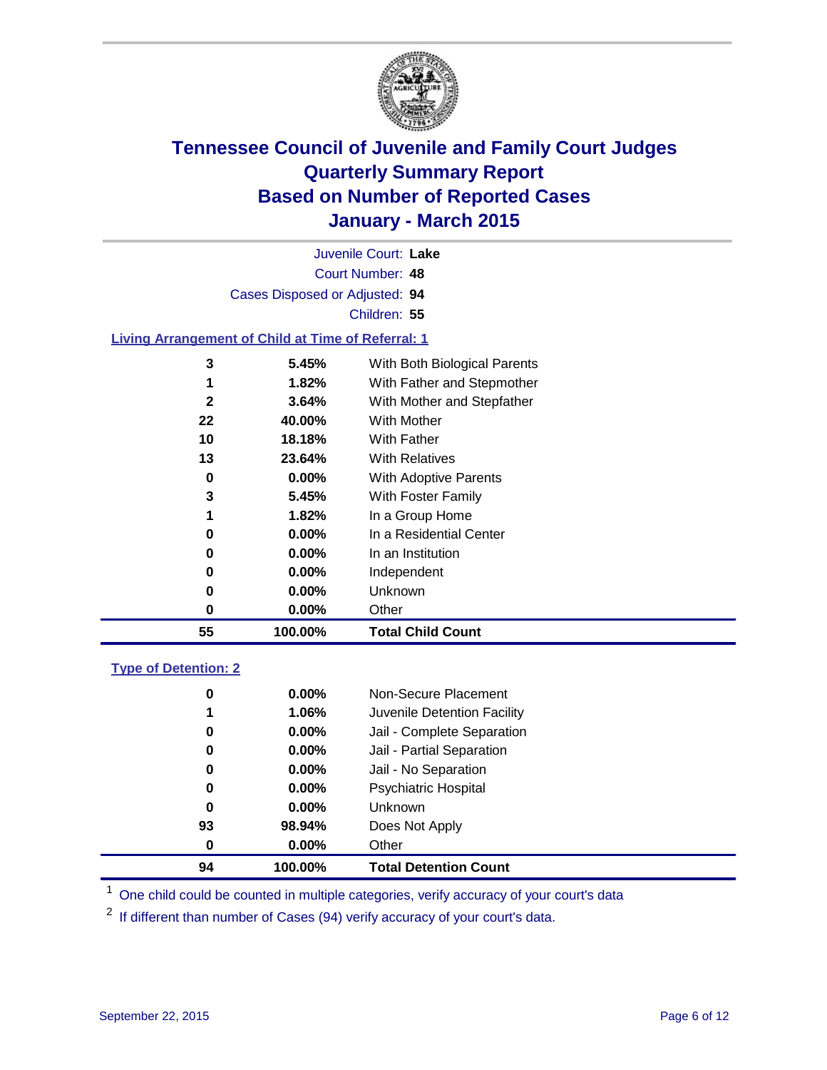

| 55                   | 100.00%                                                   | <b>Total Child Count</b>     |  |  |  |
|----------------------|-----------------------------------------------------------|------------------------------|--|--|--|
| 0                    | $0.00\%$                                                  | Other                        |  |  |  |
| 0                    | 0.00%                                                     | Unknown                      |  |  |  |
| 0                    | 0.00%                                                     | Independent                  |  |  |  |
| 0                    | 0.00%                                                     | In an Institution            |  |  |  |
| 0                    | $0.00\%$                                                  | In a Residential Center      |  |  |  |
| 1                    | 1.82%                                                     | In a Group Home              |  |  |  |
| 3                    | 5.45%                                                     | With Foster Family           |  |  |  |
| 0                    | 0.00%                                                     | With Adoptive Parents        |  |  |  |
| 13                   | 23.64%                                                    | <b>With Relatives</b>        |  |  |  |
| 10                   | 18.18%                                                    | <b>With Father</b>           |  |  |  |
| 22                   | 40.00%                                                    | <b>With Mother</b>           |  |  |  |
| $\mathbf{2}$         | 3.64%                                                     | With Mother and Stepfather   |  |  |  |
|                      | 1.82%                                                     | With Father and Stepmother   |  |  |  |
| 3                    | 5.45%                                                     | With Both Biological Parents |  |  |  |
|                      | <b>Living Arrangement of Child at Time of Referral: 1</b> |                              |  |  |  |
|                      |                                                           | Children: 55                 |  |  |  |
|                      |                                                           |                              |  |  |  |
|                      | Cases Disposed or Adjusted: 94                            |                              |  |  |  |
| Court Number: 48     |                                                           |                              |  |  |  |
| Juvenile Court: Lake |                                                           |                              |  |  |  |

### **Type of Detention: 2**

| 0<br>1<br>0<br>0<br>0<br>0<br>0<br>93 | $0.00\%$<br>$1.06\%$<br>$0.00\%$<br>0.00%<br>$0.00\%$<br>$0.00\%$<br>$0.00\%$<br>98.94% | Non-Secure Placement<br>Juvenile Detention Facility<br>Jail - Complete Separation<br>Jail - Partial Separation<br>Jail - No Separation<br><b>Psychiatric Hospital</b><br><b>Unknown</b><br>Does Not Apply |  |
|---------------------------------------|-----------------------------------------------------------------------------------------|-----------------------------------------------------------------------------------------------------------------------------------------------------------------------------------------------------------|--|
| 0                                     | $0.00\%$                                                                                | Other                                                                                                                                                                                                     |  |
| 94                                    | 100.00%                                                                                 | <b>Total Detention Count</b>                                                                                                                                                                              |  |

<sup>1</sup> One child could be counted in multiple categories, verify accuracy of your court's data

If different than number of Cases (94) verify accuracy of your court's data.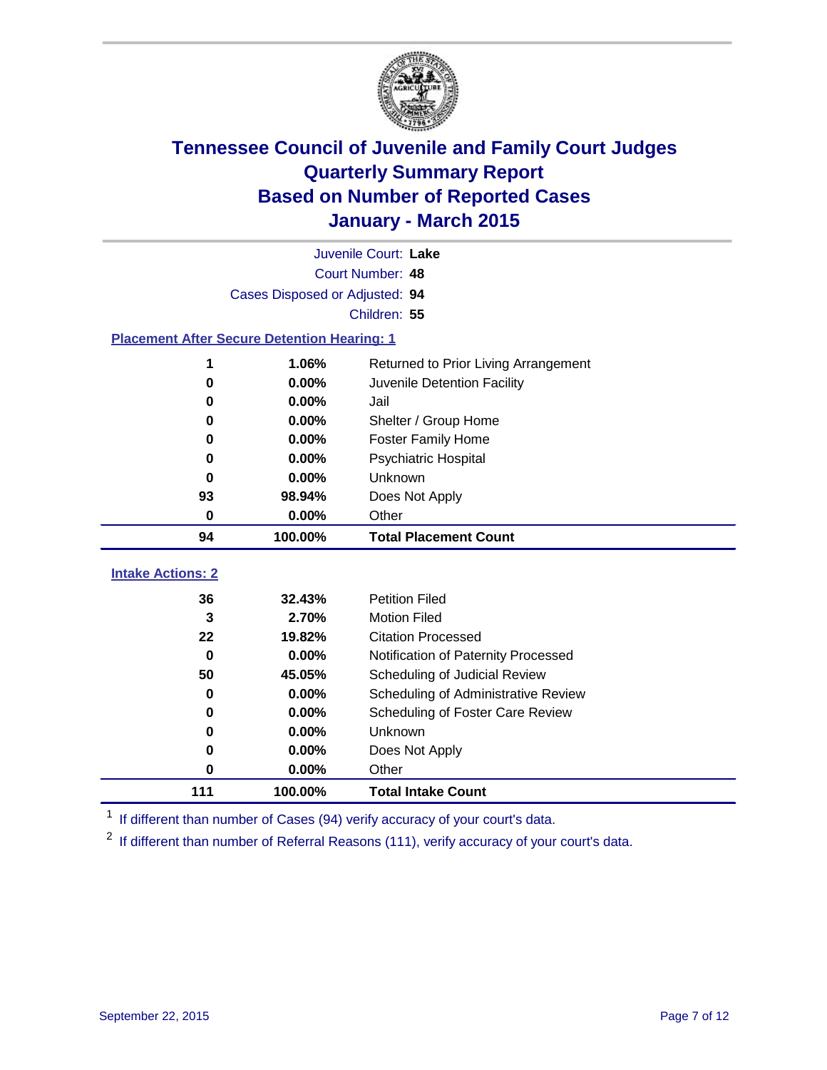

|                                                    | Juvenile Court: Lake           |                                         |  |  |  |  |
|----------------------------------------------------|--------------------------------|-----------------------------------------|--|--|--|--|
|                                                    | Court Number: 48               |                                         |  |  |  |  |
|                                                    | Cases Disposed or Adjusted: 94 |                                         |  |  |  |  |
|                                                    | Children: 55                   |                                         |  |  |  |  |
| <b>Placement After Secure Detention Hearing: 1</b> |                                |                                         |  |  |  |  |
| 1                                                  | 1.06%                          | Returned to Prior Living Arrangement    |  |  |  |  |
| 0                                                  | 0.00%                          | Juvenile Detention Facility             |  |  |  |  |
| 0                                                  | 0.00%                          | Jail                                    |  |  |  |  |
| 0                                                  | 0.00%                          | Shelter / Group Home                    |  |  |  |  |
| 0                                                  | $0.00\%$                       | <b>Foster Family Home</b>               |  |  |  |  |
| 0                                                  | 0.00%                          | <b>Psychiatric Hospital</b>             |  |  |  |  |
| 0                                                  | 0.00%                          | Unknown                                 |  |  |  |  |
| 93                                                 | 98.94%                         | Does Not Apply                          |  |  |  |  |
| $\mathbf 0$                                        | 0.00%                          | Other                                   |  |  |  |  |
| 94                                                 | 100.00%                        | <b>Total Placement Count</b>            |  |  |  |  |
| <b>Intake Actions: 2</b>                           |                                |                                         |  |  |  |  |
| 36                                                 | 32.43%                         | <b>Petition Filed</b>                   |  |  |  |  |
| 3                                                  | 2.70%                          | <b>Motion Filed</b>                     |  |  |  |  |
| 22                                                 | 19.82%                         | <b>Citation Processed</b>               |  |  |  |  |
| 0.00%<br>$\bf{0}$                                  |                                | Notification of Paternity Processed     |  |  |  |  |
| 50                                                 | 45.05%                         | Scheduling of Judicial Review           |  |  |  |  |
| 0                                                  | 0.00%                          | Scheduling of Administrative Review     |  |  |  |  |
| 0                                                  | 0.00%                          | <b>Scheduling of Foster Care Review</b> |  |  |  |  |
| 0                                                  | 0.00%                          | Unknown                                 |  |  |  |  |
| 0                                                  | 0.00%                          | Does Not Apply                          |  |  |  |  |
| 0                                                  | 0.00%                          | Other                                   |  |  |  |  |
| 111                                                | 100.00%                        | <b>Total Intake Count</b>               |  |  |  |  |

<sup>1</sup> If different than number of Cases (94) verify accuracy of your court's data.

<sup>2</sup> If different than number of Referral Reasons (111), verify accuracy of your court's data.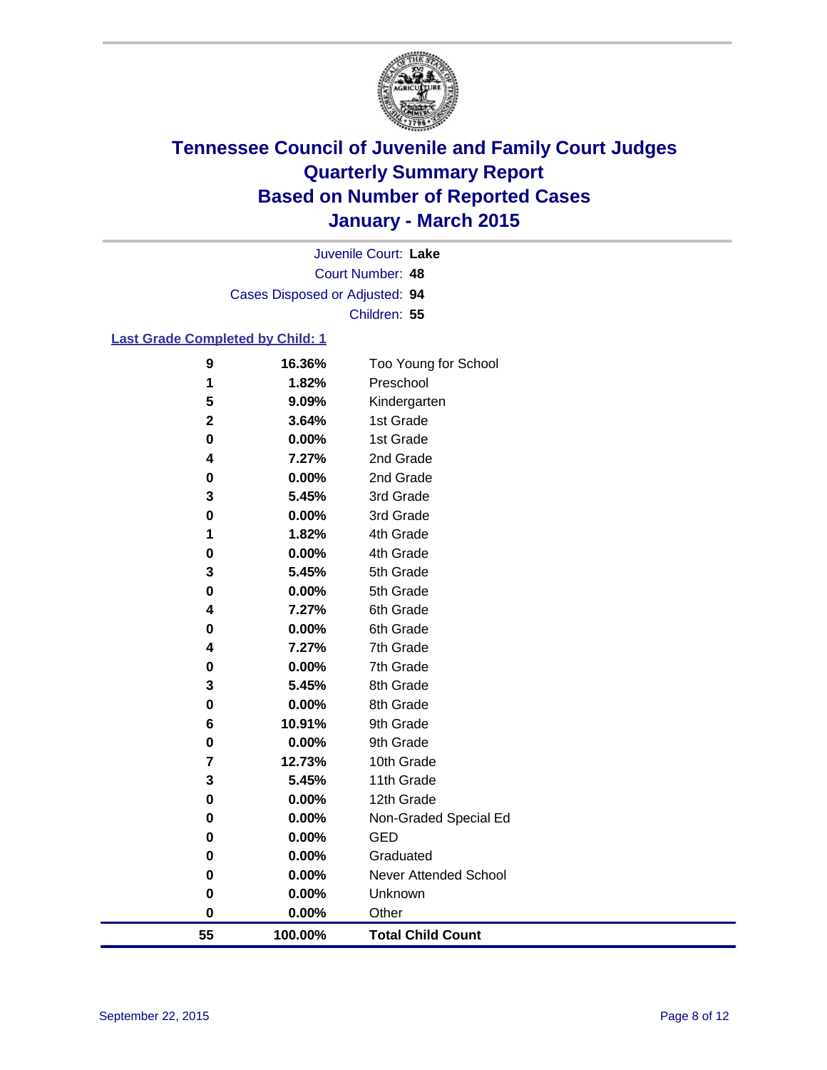

Court Number: **48** Juvenile Court: **Lake** Cases Disposed or Adjusted: **94** Children: **55**

### **Last Grade Completed by Child: 1**

| 55          | 100.00%        | <b>Total Child Count</b> |
|-------------|----------------|--------------------------|
| 0           | 0.00%          | Other                    |
| $\bf{0}$    | 0.00%          | Unknown                  |
| 0           | 0.00%          | Never Attended School    |
| 0           | 0.00%          | Graduated                |
| 0           | 0.00%          | <b>GED</b>               |
| 0           | 0.00%          | Non-Graded Special Ed    |
| 0           | 0.00%          | 12th Grade               |
| 3           | 5.45%          | 11th Grade               |
| 7           | 12.73%         | 10th Grade               |
| 0           | 0.00%          | 9th Grade                |
| 6           | 10.91%         | 9th Grade                |
| $\pmb{0}$   | 0.00%          | 8th Grade                |
| 3           | 5.45%          | 8th Grade                |
| 0           | 0.00%          | 7th Grade                |
| 0<br>4      | 7.27%          | 7th Grade                |
| 4           | 7.27%<br>0.00% | 6th Grade<br>6th Grade   |
| 0           | 0.00%          | 5th Grade                |
| 3           | 5.45%          | 5th Grade                |
| 0           | 0.00%          | 4th Grade                |
| 1           | 1.82%          | 4th Grade                |
| 0           | 0.00%          | 3rd Grade                |
| 3           | 5.45%          | 3rd Grade                |
| 0           | 0.00%          | 2nd Grade                |
| 4           | 7.27%          | 2nd Grade                |
| 0           | 0.00%          | 1st Grade                |
| $\mathbf 2$ | 3.64%          | 1st Grade                |
| 5           | 9.09%          | Kindergarten             |
| 1           | 1.82%          | Preschool                |
| 9           | 16.36%         | Too Young for School     |
|             |                |                          |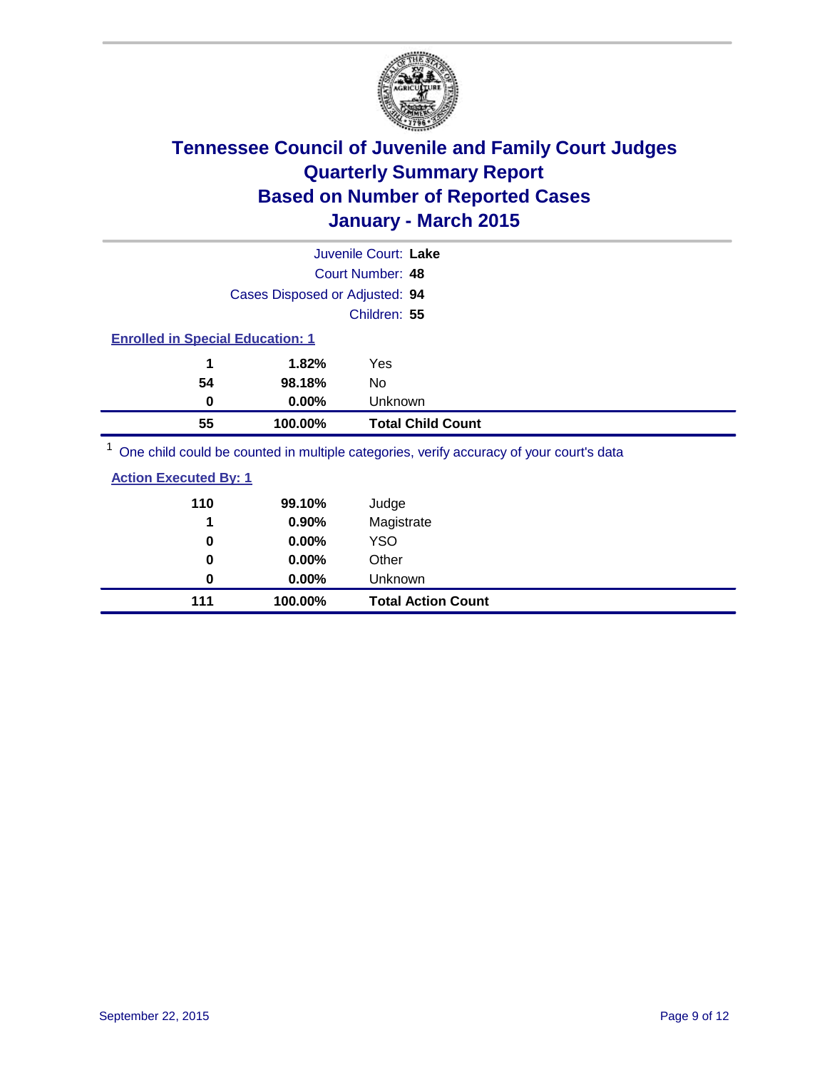

| Juvenile Court: Lake                                                                    |                          |  |  |
|-----------------------------------------------------------------------------------------|--------------------------|--|--|
| Court Number: 48                                                                        |                          |  |  |
| Cases Disposed or Adjusted: 94                                                          |                          |  |  |
| Children: 55                                                                            |                          |  |  |
| <b>Enrolled in Special Education: 1</b>                                                 |                          |  |  |
| 1.82%<br>1<br>Yes                                                                       |                          |  |  |
| 54<br>98.18%<br>No                                                                      |                          |  |  |
| $0.00\%$<br>Unknown<br>0                                                                |                          |  |  |
| 55<br>100.00%                                                                           | <b>Total Child Count</b> |  |  |
| One child could be counted in multiple categories, verify accuracy of your court's data |                          |  |  |

| <b>Action Executed By: 1</b> |         |                           |  |
|------------------------------|---------|---------------------------|--|
| 110                          | 99.10%  | Judge                     |  |
| 1                            | 0.90%   | Magistrate                |  |
| 0                            | 0.00%   | YSO                       |  |
| 0                            | 0.00%   | Other                     |  |
| 0                            | 0.00%   | <b>Unknown</b>            |  |
| 111                          | 100.00% | <b>Total Action Count</b> |  |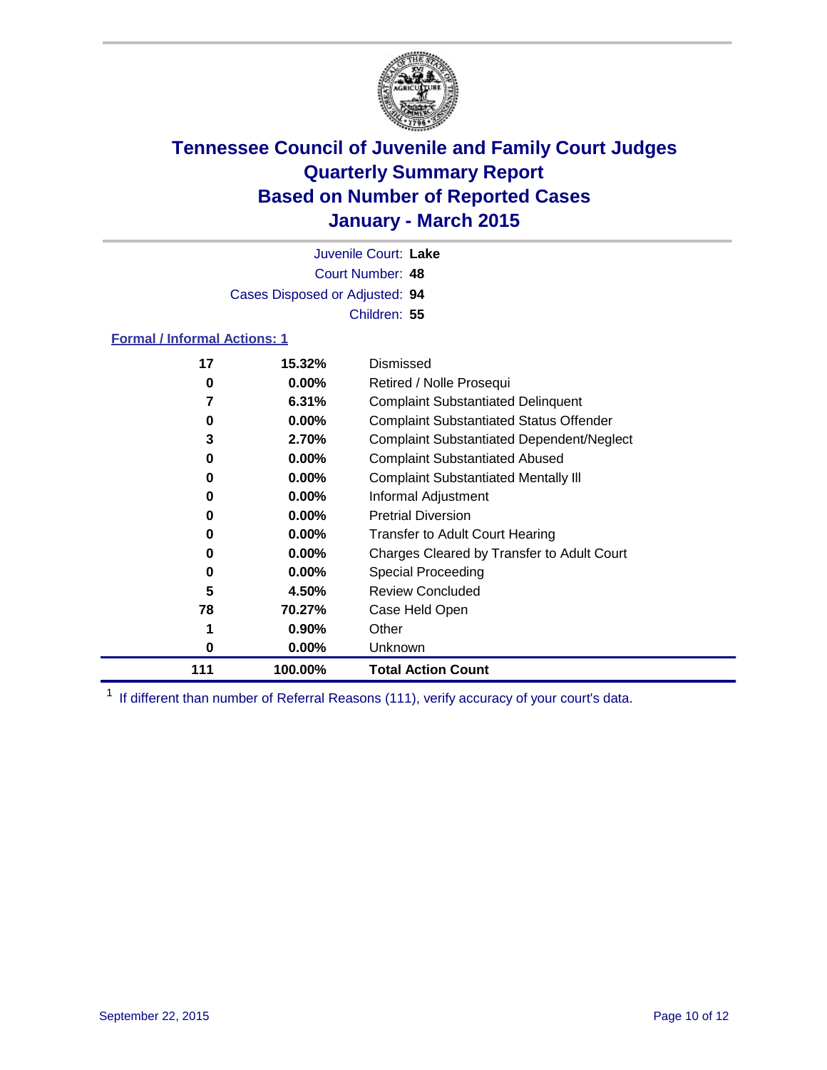

Court Number: **48** Juvenile Court: **Lake** Cases Disposed or Adjusted: **94** Children: **55**

### **Formal / Informal Actions: 1**

| 17  | 15.32%   | Dismissed                                        |
|-----|----------|--------------------------------------------------|
| 0   | $0.00\%$ | Retired / Nolle Prosequi                         |
|     | 6.31%    | <b>Complaint Substantiated Delinquent</b>        |
| 0   | $0.00\%$ | <b>Complaint Substantiated Status Offender</b>   |
| 3   | 2.70%    | <b>Complaint Substantiated Dependent/Neglect</b> |
| 0   | $0.00\%$ | <b>Complaint Substantiated Abused</b>            |
| 0   | $0.00\%$ | <b>Complaint Substantiated Mentally III</b>      |
| 0   | $0.00\%$ | Informal Adjustment                              |
| 0   | $0.00\%$ | <b>Pretrial Diversion</b>                        |
| 0   | $0.00\%$ | <b>Transfer to Adult Court Hearing</b>           |
| 0   | $0.00\%$ | Charges Cleared by Transfer to Adult Court       |
| 0   | $0.00\%$ | Special Proceeding                               |
| 5   | 4.50%    | <b>Review Concluded</b>                          |
| 78  | 70.27%   | Case Held Open                                   |
|     | $0.90\%$ | Other                                            |
| 0   | $0.00\%$ | <b>Unknown</b>                                   |
| 111 | 100.00%  | <b>Total Action Count</b>                        |

<sup>1</sup> If different than number of Referral Reasons (111), verify accuracy of your court's data.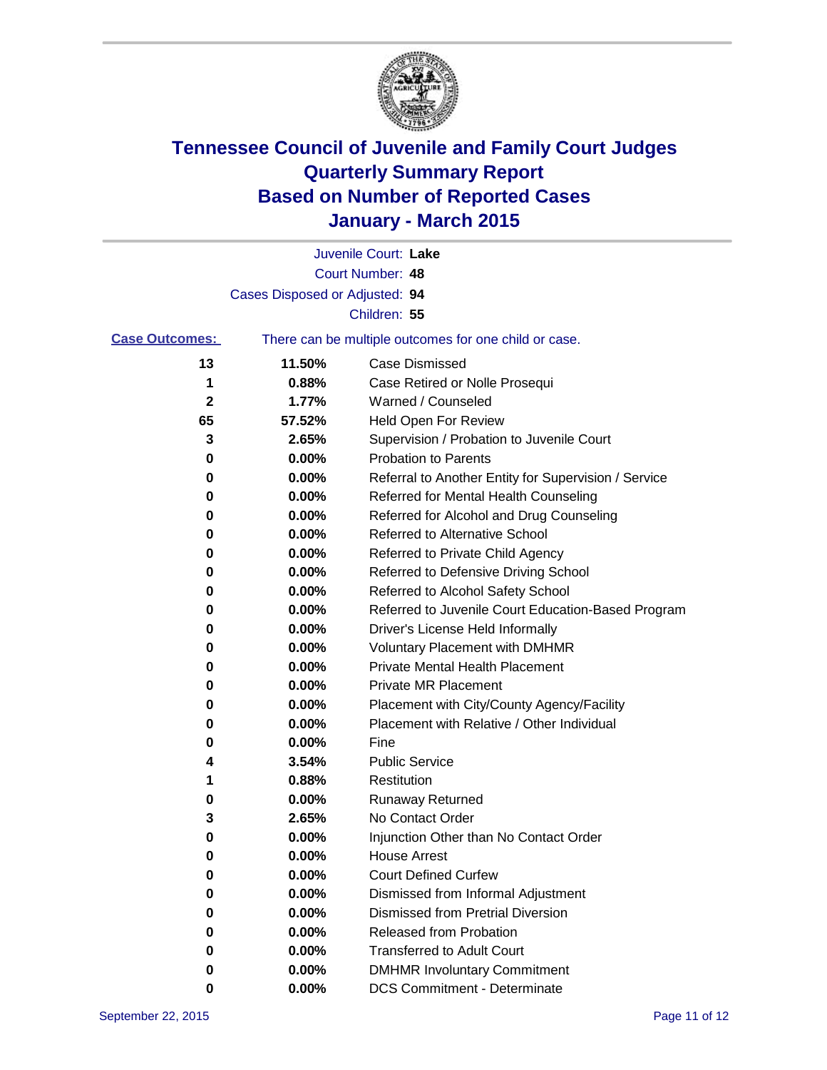

|                       |                                | Juvenile Court: Lake                                  |
|-----------------------|--------------------------------|-------------------------------------------------------|
|                       |                                | Court Number: 48                                      |
|                       | Cases Disposed or Adjusted: 94 |                                                       |
|                       |                                | Children: 55                                          |
| <b>Case Outcomes:</b> |                                | There can be multiple outcomes for one child or case. |
| 13                    | 11.50%                         | <b>Case Dismissed</b>                                 |
| 1                     | 0.88%                          | Case Retired or Nolle Prosequi                        |
| $\mathbf 2$           | 1.77%                          | Warned / Counseled                                    |
| 65                    | 57.52%                         | Held Open For Review                                  |
| 3                     | 2.65%                          | Supervision / Probation to Juvenile Court             |
| 0                     | 0.00%                          | <b>Probation to Parents</b>                           |
| 0                     | 0.00%                          | Referral to Another Entity for Supervision / Service  |
| 0                     | 0.00%                          | Referred for Mental Health Counseling                 |
| 0                     | 0.00%                          | Referred for Alcohol and Drug Counseling              |
| 0                     | 0.00%                          | Referred to Alternative School                        |
| 0                     | 0.00%                          | Referred to Private Child Agency                      |
| 0                     | 0.00%                          | Referred to Defensive Driving School                  |
| 0                     | 0.00%                          | Referred to Alcohol Safety School                     |
| 0                     | 0.00%                          | Referred to Juvenile Court Education-Based Program    |
| 0                     | 0.00%                          | Driver's License Held Informally                      |
| 0                     | 0.00%                          | <b>Voluntary Placement with DMHMR</b>                 |
| 0                     | 0.00%                          | <b>Private Mental Health Placement</b>                |
| 0                     | 0.00%                          | <b>Private MR Placement</b>                           |
| 0                     | 0.00%                          | Placement with City/County Agency/Facility            |
| 0                     | 0.00%                          | Placement with Relative / Other Individual            |
| 0                     | 0.00%                          | Fine                                                  |
| 4                     | 3.54%                          | <b>Public Service</b>                                 |
| 1                     | 0.88%                          | Restitution                                           |
| 0                     | 0.00%                          | <b>Runaway Returned</b>                               |
| 3                     | 2.65%                          | No Contact Order                                      |
| 0                     | 0.00%                          | Injunction Other than No Contact Order                |
| 0                     | 0.00%                          | <b>House Arrest</b>                                   |
| 0                     | 0.00%                          | <b>Court Defined Curfew</b>                           |
| 0                     | 0.00%                          | Dismissed from Informal Adjustment                    |
| 0                     | 0.00%                          | Dismissed from Pretrial Diversion                     |
| 0                     | 0.00%                          | Released from Probation                               |
| 0                     | 0.00%                          | <b>Transferred to Adult Court</b>                     |
| 0                     | 0.00%                          | <b>DMHMR Involuntary Commitment</b>                   |
| 0                     | 0.00%                          | <b>DCS Commitment - Determinate</b>                   |